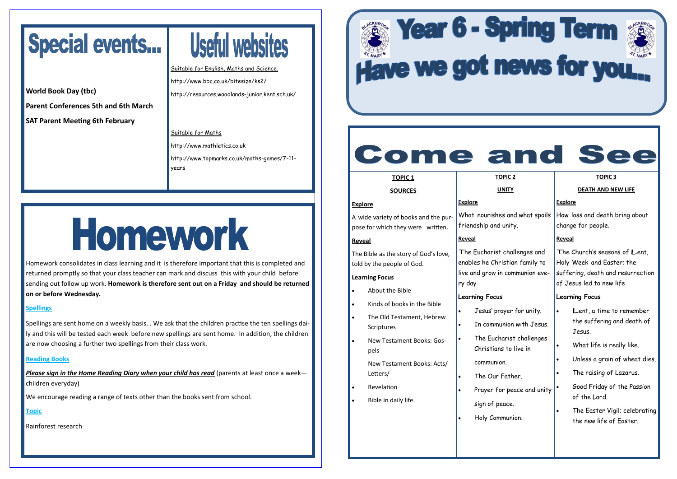#### **TOPIC 1**

#### **SOURCES**

**Explore**

A wide variety of books and the purpose for which they were written.

#### **Reveal**

The Bible as the story of God's love, told by the people of God.

#### **Learning Focus**

- About the Bible
- Kinds of books in the Bible
- The Old Testament, Hebrew **Scriptures**
- New Testament Books: Gospels
	- New Testament Books: Acts/ Letters/
- Revelation
- Bible in daily life.

#### **TOPIC 2 UNITY**

#### **Explore**

friendship and unity.

#### **Reveal**

The Eucharist challenges and enables he Christian family to live and grow in communion every day.

#### **Learning Focus**

What nourishes and what spoils How loss and death bring about change for people.

- Jesus' prayer for unity.
- In communion with Jesus.
- The Eucharist challenges Christians to live in communion.
- The Our Father.
- - sign of peace.
- Holy Communion.

| nd what e |  |
|-----------|--|
| Ĺ         |  |

Prayer for peace and unity

#### **DEATH AND NEW LIFE**

#### **Explore**

#### **Reveal**

The Church'<sup>s</sup> seasons of Lent, Holy Week and Easter; the suffering, death and resurrection of Jesus led to new life

#### **Learning Focus**

- Lent, a time to remember the suffering and death of Jesus.
- What life is really like.
- Unless a grain of wheat dies.
- The raising of Lazarus.
- Good Friday of the Passion of the Lord.
	- The Easter Vigil; celebrating the new life of Easter.

## Special events...

**World Book Day (tbc) Parent Conferences 5th and 6th March SAT Parent Meeting 6th February** 

# Useful websites

Suitable for English, Maths and Science. http://www.bbc.co.uk/bitesize/ks2/ http://resources.woodlands-junior.kent.sch.uk/

#### Suitable for Maths

http://www.mathletics.co.uk http://www.topmarks.co.uk/maths-games/7-11 years

# Homework

Homework consolidates in class learning and it is therefore important that this is completed and returned promptly so that your class teacher can mark and discuss this with your child before sending out follow up work. **Homework is therefore sent out on a Friday and should be returned on or before Wednesday.** 

#### **Spellings**

Spellings are sent home on a weekly basis. . We ask that the children practise the ten spellings daily and this will be tested each week before new spellings are sent home. In addition, the children are now choosing a further two spellings from their class work.

#### **Reading Books**

*Please sign in the Home Reading Diary when your child has read* (parents at least once a week children everyday)

We encourage reading a range of texts other than the books sent from school.

**Topic**

Rainforest research

# **Exprime Term & Year 6 - Spring Term & Year 6 - Spring Term & State**

### **Come and See**